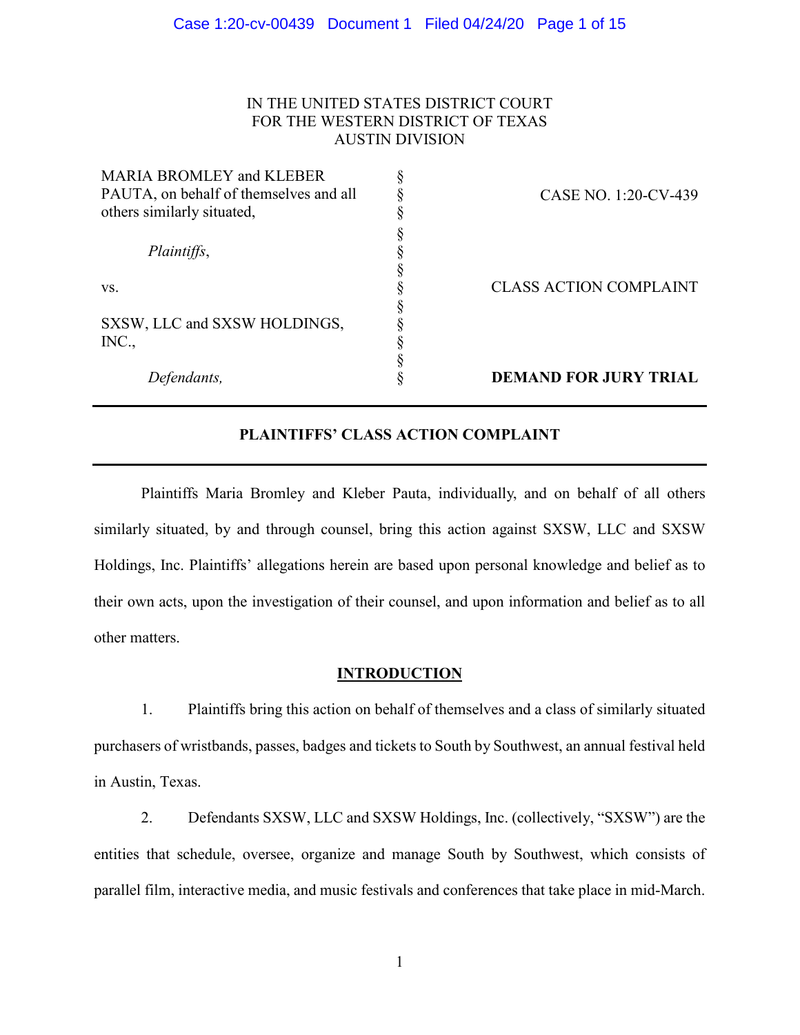## IN THE UNITED STATES DISTRICT COURT FOR THE WESTERN DISTRICT OF TEXAS AUSTIN DIVISION

| CASE NO. 1:20-CV-439          |
|-------------------------------|
|                               |
|                               |
|                               |
|                               |
| <b>CLASS ACTION COMPLAINT</b> |
|                               |
|                               |
|                               |
|                               |
| <b>DEMAND FOR JURY TRIAL</b>  |
|                               |

# **PLAINTIFFS' CLASS ACTION COMPLAINT**

Plaintiffs Maria Bromley and Kleber Pauta, individually, and on behalf of all others similarly situated, by and through counsel, bring this action against SXSW, LLC and SXSW Holdings, Inc. Plaintiffs' allegations herein are based upon personal knowledge and belief as to their own acts, upon the investigation of their counsel, and upon information and belief as to all other matters.

## **INTRODUCTION**

1. Plaintiffs bring this action on behalf of themselves and a class of similarly situated purchasers of wristbands, passes, badges and tickets to South by Southwest, an annual festival held in Austin, Texas.

2. Defendants SXSW, LLC and SXSW Holdings, Inc. (collectively, "SXSW") are the entities that schedule, oversee, organize and manage South by Southwest, which consists of parallel film, interactive media, and music festivals and conferences that take place in mid-March.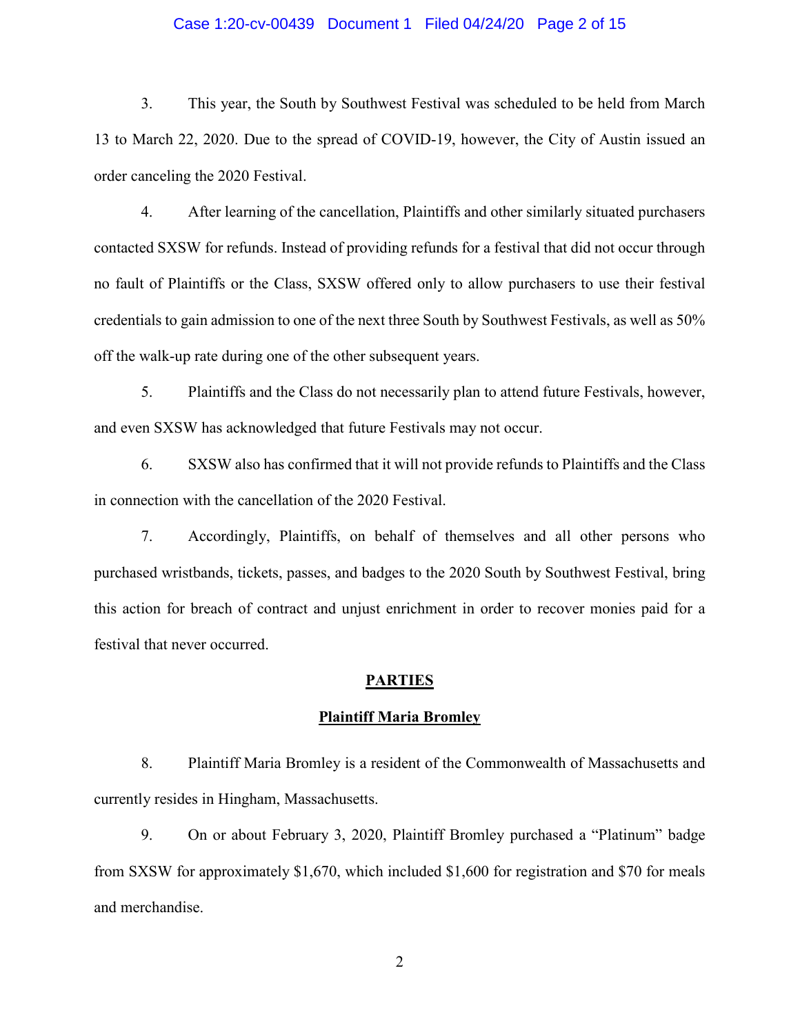## Case 1:20-cv-00439 Document 1 Filed 04/24/20 Page 2 of 15

3. This year, the South by Southwest Festival was scheduled to be held from March 13 to March 22, 2020. Due to the spread of COVID-19, however, the City of Austin issued an order canceling the 2020 Festival.

4. After learning of the cancellation, Plaintiffs and other similarly situated purchasers contacted SXSW for refunds. Instead of providing refunds for a festival that did not occur through no fault of Plaintiffs or the Class, SXSW offered only to allow purchasers to use their festival credentials to gain admission to one of the next three South by Southwest Festivals, as well as 50% off the walk-up rate during one of the other subsequent years.

5. Plaintiffs and the Class do not necessarily plan to attend future Festivals, however, and even SXSW has acknowledged that future Festivals may not occur.

6. SXSW also has confirmed that it will not provide refunds to Plaintiffs and the Class in connection with the cancellation of the 2020 Festival.

7. Accordingly, Plaintiffs, on behalf of themselves and all other persons who purchased wristbands, tickets, passes, and badges to the 2020 South by Southwest Festival, bring this action for breach of contract and unjust enrichment in order to recover monies paid for a festival that never occurred.

#### **PARTIES**

#### **Plaintiff Maria Bromley**

8. Plaintiff Maria Bromley is a resident of the Commonwealth of Massachusetts and currently resides in Hingham, Massachusetts.

9. On or about February 3, 2020, Plaintiff Bromley purchased a "Platinum" badge from SXSW for approximately \$1,670, which included \$1,600 for registration and \$70 for meals and merchandise.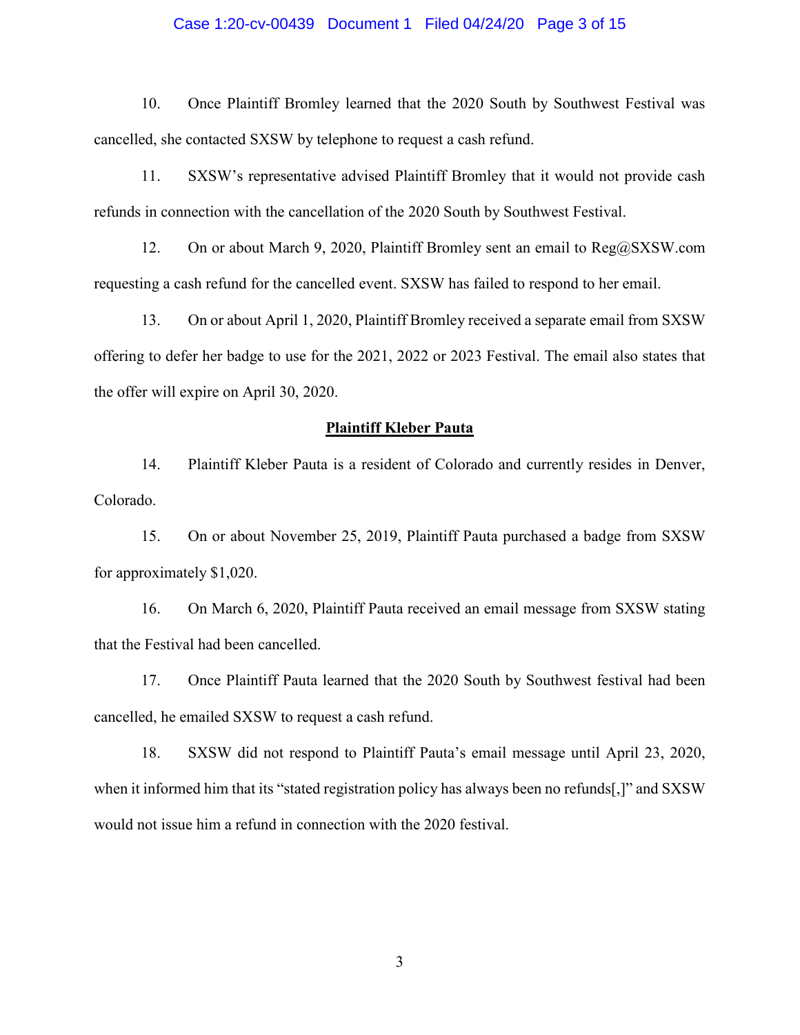## Case 1:20-cv-00439 Document 1 Filed 04/24/20 Page 3 of 15

10. Once Plaintiff Bromley learned that the 2020 South by Southwest Festival was cancelled, she contacted SXSW by telephone to request a cash refund.

11. SXSW's representative advised Plaintiff Bromley that it would not provide cash refunds in connection with the cancellation of the 2020 South by Southwest Festival.

12. On or about March 9, 2020, Plaintiff Bromley sent an email to Reg@SXSW.com requesting a cash refund for the cancelled event. SXSW has failed to respond to her email.

13. On or about April 1, 2020, Plaintiff Bromley received a separate email from SXSW offering to defer her badge to use for the 2021, 2022 or 2023 Festival. The email also states that the offer will expire on April 30, 2020.

#### **Plaintiff Kleber Pauta**

14. Plaintiff Kleber Pauta is a resident of Colorado and currently resides in Denver, Colorado.

15. On or about November 25, 2019, Plaintiff Pauta purchased a badge from SXSW for approximately \$1,020.

16. On March 6, 2020, Plaintiff Pauta received an email message from SXSW stating that the Festival had been cancelled.

17. Once Plaintiff Pauta learned that the 2020 South by Southwest festival had been cancelled, he emailed SXSW to request a cash refund.

18. SXSW did not respond to Plaintiff Pauta's email message until April 23, 2020, when it informed him that its "stated registration policy has always been no refunds[,]" and SXSW would not issue him a refund in connection with the 2020 festival.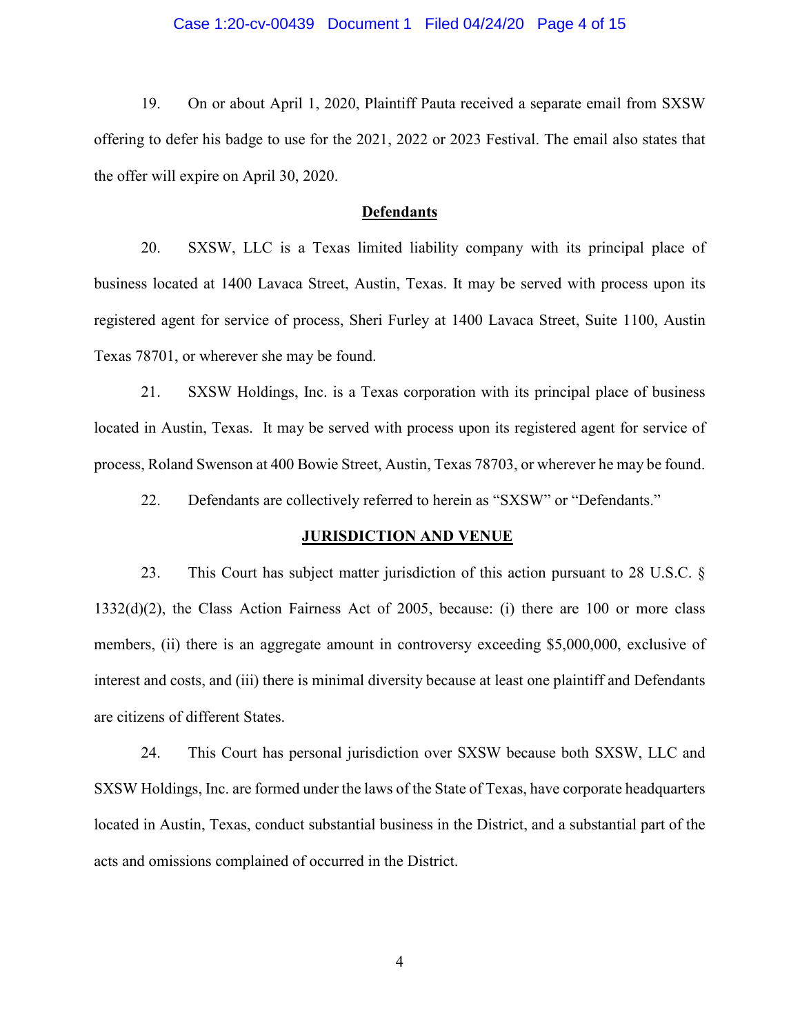## Case 1:20-cv-00439 Document 1 Filed 04/24/20 Page 4 of 15

19. On or about April 1, 2020, Plaintiff Pauta received a separate email from SXSW offering to defer his badge to use for the 2021, 2022 or 2023 Festival. The email also states that the offer will expire on April 30, 2020.

#### **Defendants**

20. SXSW, LLC is a Texas limited liability company with its principal place of business located at 1400 Lavaca Street, Austin, Texas. It may be served with process upon its registered agent for service of process, Sheri Furley at 1400 Lavaca Street, Suite 1100, Austin Texas 78701, or wherever she may be found.

21. SXSW Holdings, Inc. is a Texas corporation with its principal place of business located in Austin, Texas. It may be served with process upon its registered agent for service of process, Roland Swenson at 400 Bowie Street, Austin, Texas 78703, or wherever he may be found.

22. Defendants are collectively referred to herein as "SXSW" or "Defendants."

#### **JURISDICTION AND VENUE**

23. This Court has subject matter jurisdiction of this action pursuant to 28 U.S.C. § 1332(d)(2), the Class Action Fairness Act of 2005, because: (i) there are 100 or more class members, (ii) there is an aggregate amount in controversy exceeding \$5,000,000, exclusive of interest and costs, and (iii) there is minimal diversity because at least one plaintiff and Defendants are citizens of different States.

24. This Court has personal jurisdiction over SXSW because both SXSW, LLC and SXSW Holdings, Inc. are formed under the laws of the State of Texas, have corporate headquarters located in Austin, Texas, conduct substantial business in the District, and a substantial part of the acts and omissions complained of occurred in the District.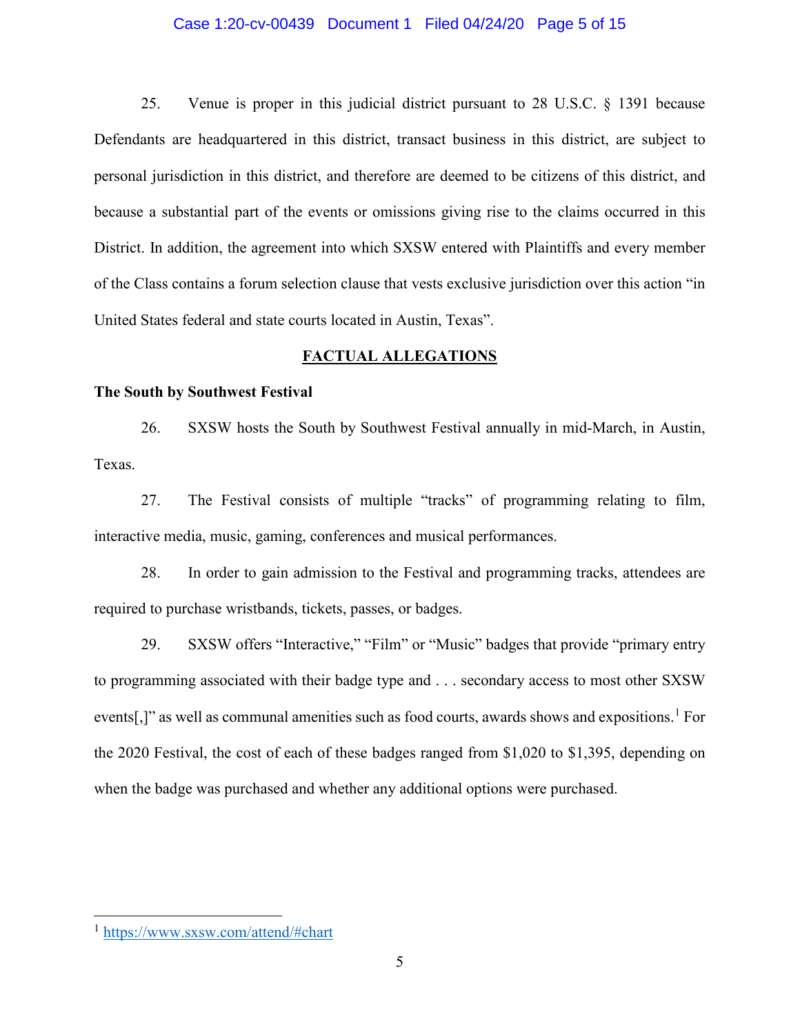## Case 1:20-cv-00439 Document 1 Filed 04/24/20 Page 5 of 15

25. Venue is proper in this judicial district pursuant to 28 U.S.C. § 1391 because Defendants are headquartered in this district, transact business in this district, are subject to personal jurisdiction in this district, and therefore are deemed to be citizens of this district, and because a substantial part of the events or omissions giving rise to the claims occurred in this District. In addition, the agreement into which SXSW entered with Plaintiffs and every member of the Class contains a forum selection clause that vests exclusive jurisdiction over this action "in United States federal and state courts located in Austin, Texas".

## **FACTUAL ALLEGATIONS**

## **The South by Southwest Festival**

26. SXSW hosts the South by Southwest Festival annually in mid-March, in Austin, Texas.

27. The Festival consists of multiple "tracks" of programming relating to film, interactive media, music, gaming, conferences and musical performances.

28. In order to gain admission to the Festival and programming tracks, attendees are required to purchase wristbands, tickets, passes, or badges.

29. SXSW offers "Interactive," "Film" or "Music" badges that provide "primary entry to programming associated with their badge type and . . . secondary access to most other SXSW events[,]" as well as communal amenities such as food courts, awards shows and expositions.<sup>[1](#page-4-0)</sup> For the 2020 Festival, the cost of each of these badges ranged from \$1,020 to \$1,395, depending on when the badge was purchased and whether any additional options were purchased.

 $\overline{\phantom{a}}$ 

<span id="page-4-0"></span><sup>1</sup> <https://www.sxsw.com/attend/#chart>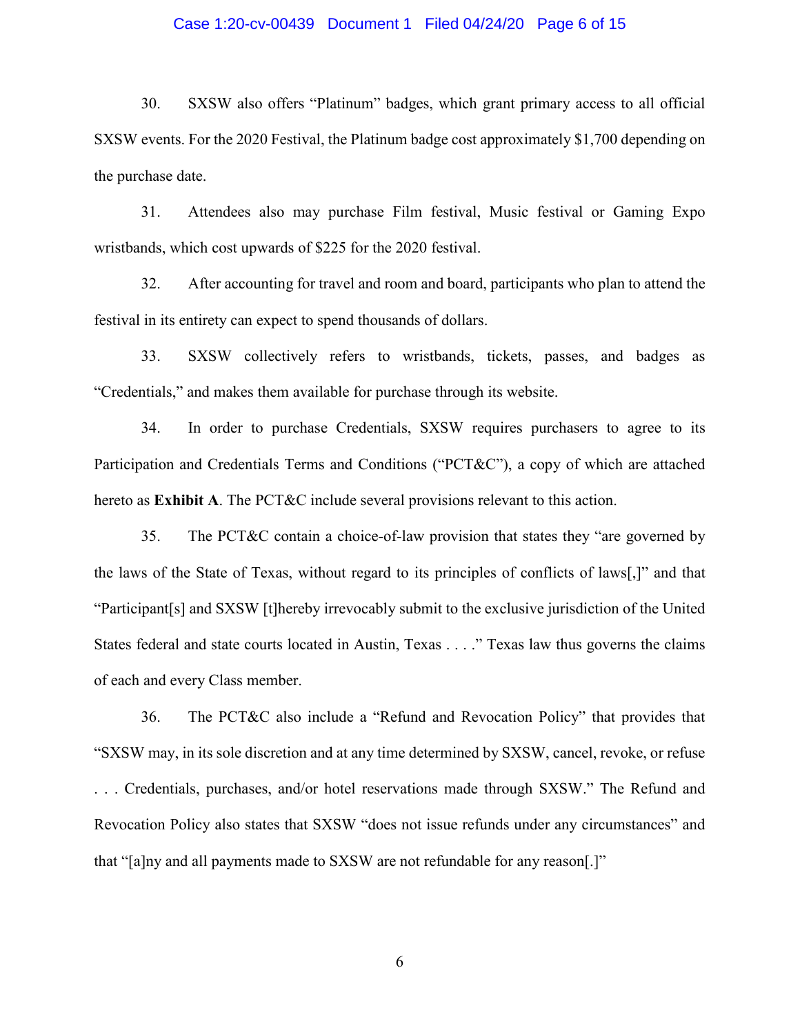## Case 1:20-cv-00439 Document 1 Filed 04/24/20 Page 6 of 15

30. SXSW also offers "Platinum" badges, which grant primary access to all official SXSW events. For the 2020 Festival, the Platinum badge cost approximately \$1,700 depending on the purchase date.

31. Attendees also may purchase Film festival, Music festival or Gaming Expo wristbands, which cost upwards of \$225 for the 2020 festival.

32. After accounting for travel and room and board, participants who plan to attend the festival in its entirety can expect to spend thousands of dollars.

33. SXSW collectively refers to wristbands, tickets, passes, and badges as "Credentials," and makes them available for purchase through its website.

34. In order to purchase Credentials, SXSW requires purchasers to agree to its Participation and Credentials Terms and Conditions ("PCT&C"), a copy of which are attached hereto as **Exhibit A**. The PCT&C include several provisions relevant to this action.

35. The PCT&C contain a choice-of-law provision that states they "are governed by the laws of the State of Texas, without regard to its principles of conflicts of laws[,]" and that "Participant[s] and SXSW [t]hereby irrevocably submit to the exclusive jurisdiction of the United States federal and state courts located in Austin, Texas . . . ." Texas law thus governs the claims of each and every Class member.

36. The PCT&C also include a "Refund and Revocation Policy" that provides that "SXSW may, in its sole discretion and at any time determined by SXSW, cancel, revoke, or refuse . . . Credentials, purchases, and/or hotel reservations made through SXSW." The Refund and Revocation Policy also states that SXSW "does not issue refunds under any circumstances" and that "[a]ny and all payments made to SXSW are not refundable for any reason[.]"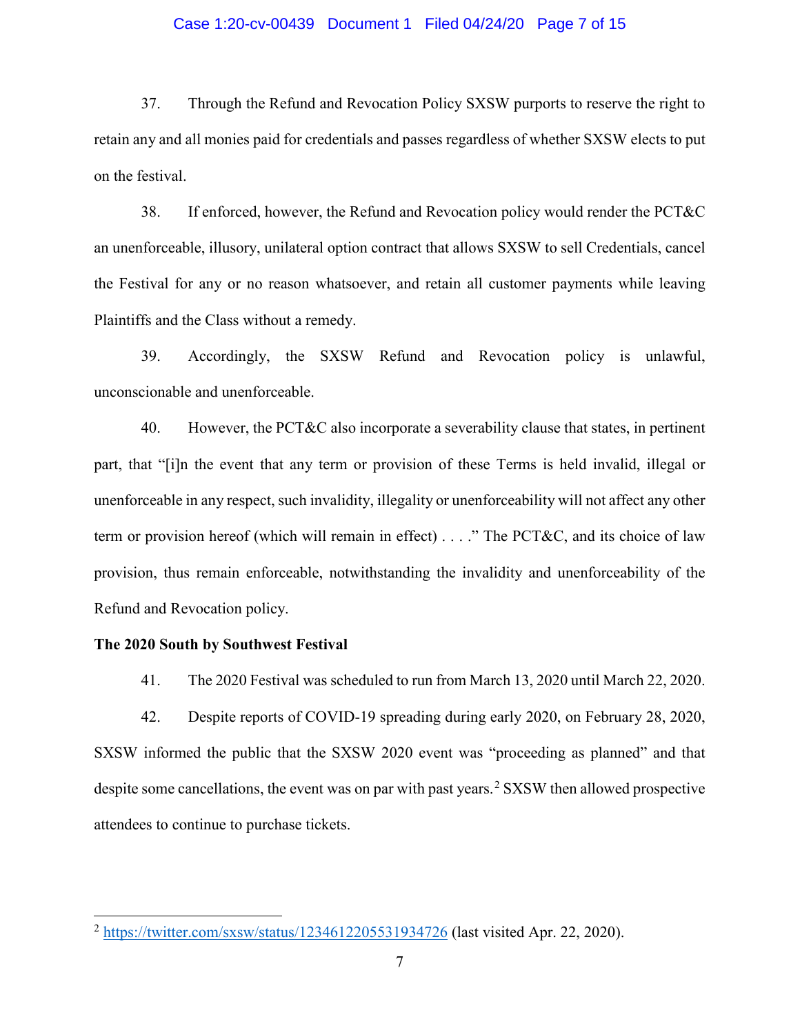## Case 1:20-cv-00439 Document 1 Filed 04/24/20 Page 7 of 15

37. Through the Refund and Revocation Policy SXSW purports to reserve the right to retain any and all monies paid for credentials and passes regardless of whether SXSW elects to put on the festival.

38. If enforced, however, the Refund and Revocation policy would render the PCT&C an unenforceable, illusory, unilateral option contract that allows SXSW to sell Credentials, cancel the Festival for any or no reason whatsoever, and retain all customer payments while leaving Plaintiffs and the Class without a remedy.

39. Accordingly, the SXSW Refund and Revocation policy is unlawful, unconscionable and unenforceable.

40. However, the PCT&C also incorporate a severability clause that states, in pertinent part, that "[i]n the event that any term or provision of these Terms is held invalid, illegal or unenforceable in any respect, such invalidity, illegality or unenforceability will not affect any other term or provision hereof (which will remain in effect) . . . ." The PCT&C, and its choice of law provision, thus remain enforceable, notwithstanding the invalidity and unenforceability of the Refund and Revocation policy.

## **The 2020 South by Southwest Festival**

 $\overline{\phantom{a}}$ 

41. The 2020 Festival was scheduled to run from March 13, 2020 until March 22, 2020.

42. Despite reports of COVID-19 spreading during early 2020, on February 28, 2020, SXSW informed the public that the SXSW 2020 event was "proceeding as planned" and that despite some cancellations, the event was on par with past years.<sup>[2](#page-6-0)</sup> SXSW then allowed prospective attendees to continue to purchase tickets.

<span id="page-6-0"></span> $^{2}$  <https://twitter.com/sxsw/status/1234612205531934726> (last visited Apr. 22, 2020).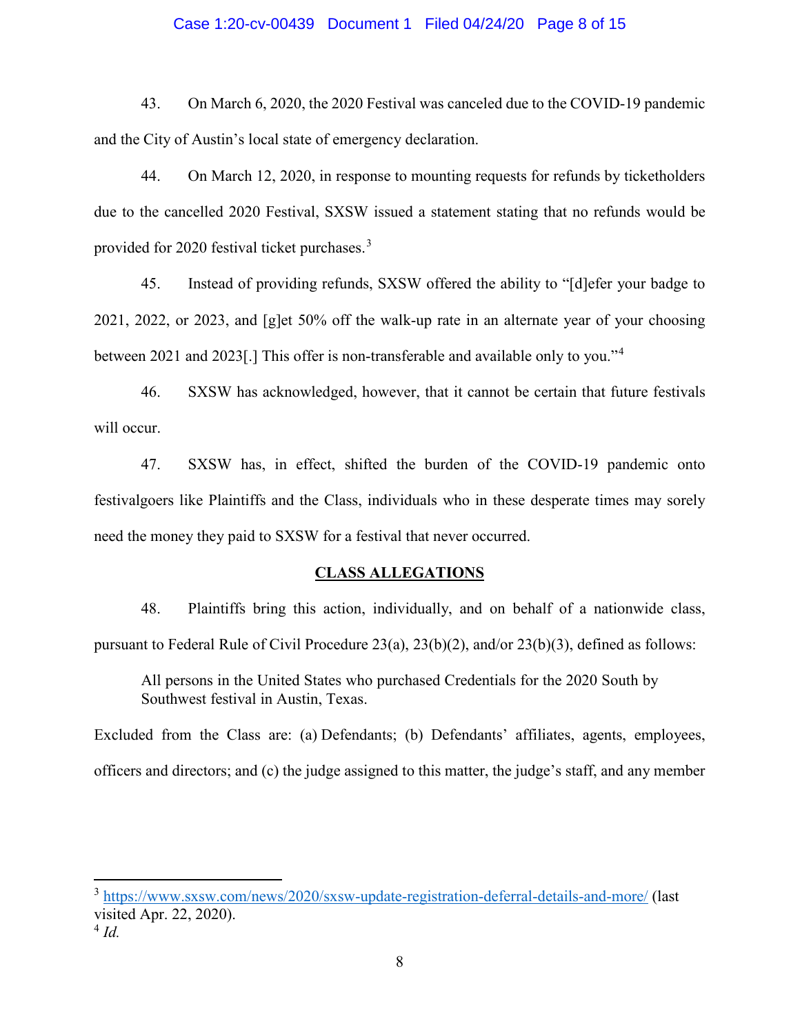## Case 1:20-cv-00439 Document 1 Filed 04/24/20 Page 8 of 15

43. On March 6, 2020, the 2020 Festival was canceled due to the COVID-19 pandemic and the City of Austin's local state of emergency declaration.

44. On March 12, 2020, in response to mounting requests for refunds by ticketholders due to the cancelled 2020 Festival, SXSW issued a statement stating that no refunds would be provided for 2020 festival ticket purchases.[3](#page-7-0)

45. Instead of providing refunds, SXSW offered the ability to "[d]efer your badge to 2021, 2022, or 2023, and [g]et 50% off the walk-up rate in an alternate year of your choosing between 2021 and 2023[.] This offer is non-transferable and available only to you."[4](#page-7-1)

46. SXSW has acknowledged, however, that it cannot be certain that future festivals will occur.

47. SXSW has, in effect, shifted the burden of the COVID-19 pandemic onto festivalgoers like Plaintiffs and the Class, individuals who in these desperate times may sorely need the money they paid to SXSW for a festival that never occurred.

#### **CLASS ALLEGATIONS**

48. Plaintiffs bring this action, individually, and on behalf of a nationwide class, pursuant to Federal Rule of Civil Procedure 23(a), 23(b)(2), and/or 23(b)(3), defined as follows:

All persons in the United States who purchased Credentials for the 2020 South by Southwest festival in Austin, Texas.

Excluded from the Class are: (a) Defendants; (b) Defendants' affiliates, agents, employees, officers and directors; and (c) the judge assigned to this matter, the judge's staff, and any member

 $\overline{\phantom{a}}$ 

<span id="page-7-0"></span><sup>3</sup> <https://www.sxsw.com/news/2020/sxsw-update-registration-deferral-details-and-more/> (last visited Apr. 22, 2020).

<span id="page-7-1"></span> $4$   $Id$ .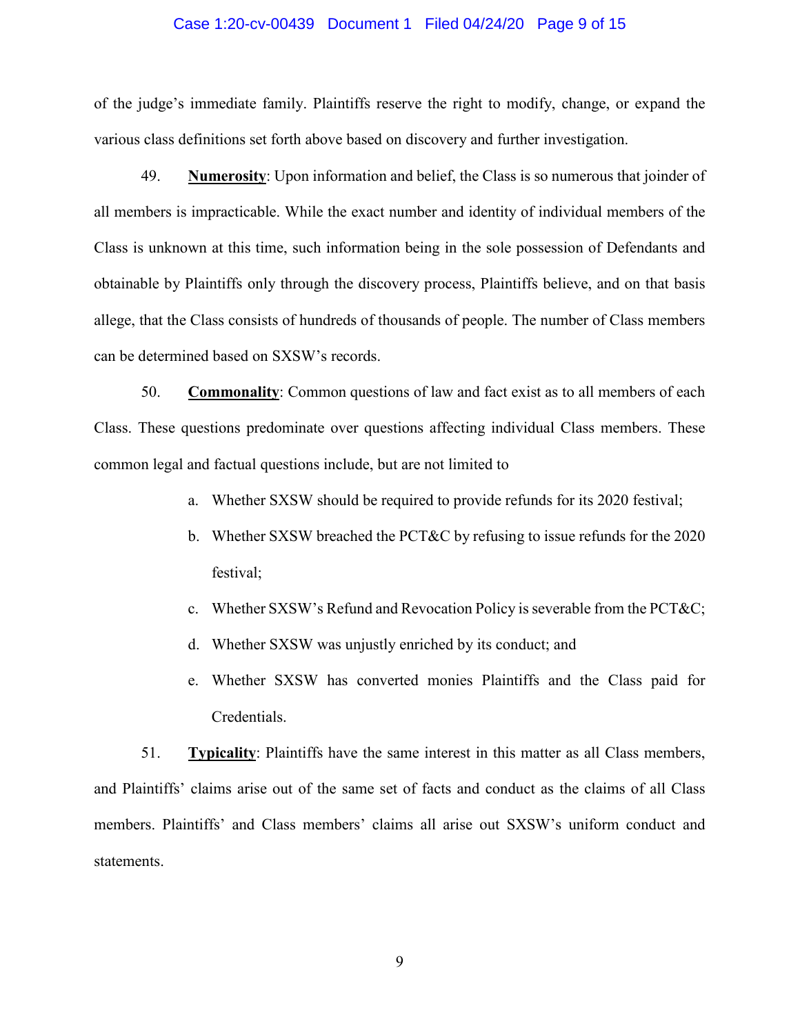#### Case 1:20-cv-00439 Document 1 Filed 04/24/20 Page 9 of 15

of the judge's immediate family. Plaintiffs reserve the right to modify, change, or expand the various class definitions set forth above based on discovery and further investigation.

49. **Numerosity**: Upon information and belief, the Class is so numerous that joinder of all members is impracticable. While the exact number and identity of individual members of the Class is unknown at this time, such information being in the sole possession of Defendants and obtainable by Plaintiffs only through the discovery process, Plaintiffs believe, and on that basis allege, that the Class consists of hundreds of thousands of people. The number of Class members can be determined based on SXSW's records.

50. **Commonality**: Common questions of law and fact exist as to all members of each Class. These questions predominate over questions affecting individual Class members. These common legal and factual questions include, but are not limited to

- a. Whether SXSW should be required to provide refunds for its 2020 festival;
- b. Whether SXSW breached the PCT&C by refusing to issue refunds for the 2020 festival;
- c. Whether SXSW's Refund and Revocation Policy is severable from the PCT&C;
- d. Whether SXSW was unjustly enriched by its conduct; and
- e. Whether SXSW has converted monies Plaintiffs and the Class paid for Credentials.

51. **Typicality**: Plaintiffs have the same interest in this matter as all Class members, and Plaintiffs' claims arise out of the same set of facts and conduct as the claims of all Class members. Plaintiffs' and Class members' claims all arise out SXSW's uniform conduct and statements.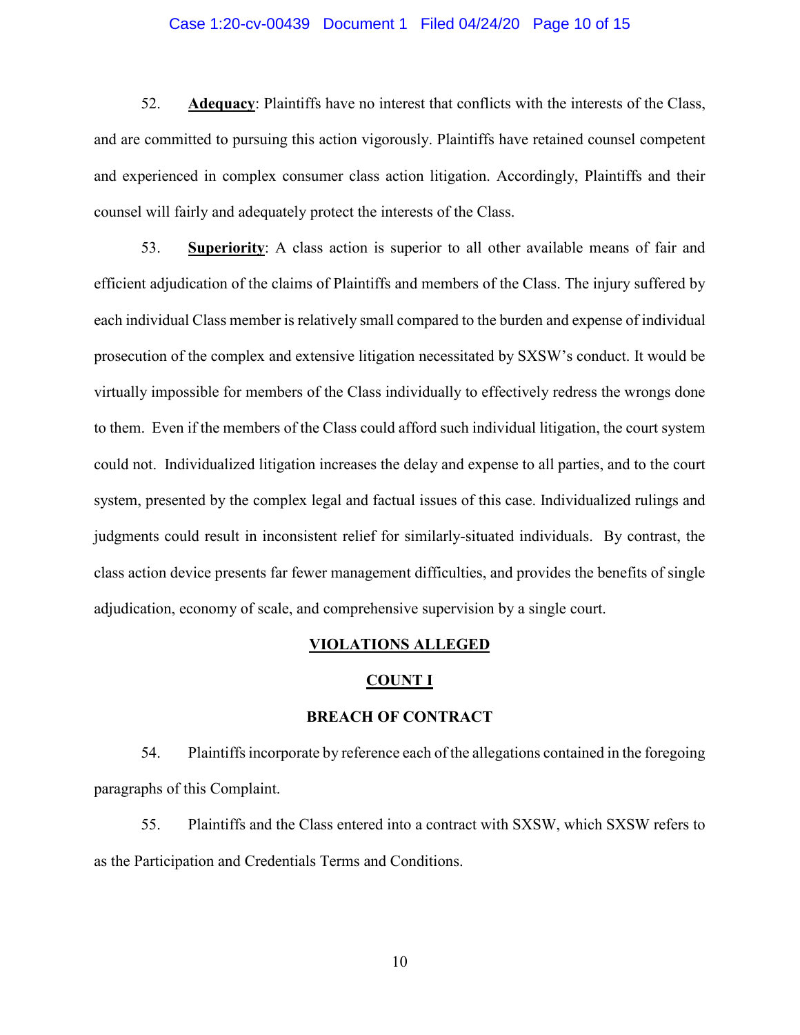## Case 1:20-cv-00439 Document 1 Filed 04/24/20 Page 10 of 15

52. **Adequacy**: Plaintiffs have no interest that conflicts with the interests of the Class, and are committed to pursuing this action vigorously. Plaintiffs have retained counsel competent and experienced in complex consumer class action litigation. Accordingly, Plaintiffs and their counsel will fairly and adequately protect the interests of the Class.

53. **Superiority**: A class action is superior to all other available means of fair and efficient adjudication of the claims of Plaintiffs and members of the Class. The injury suffered by each individual Class member is relatively small compared to the burden and expense of individual prosecution of the complex and extensive litigation necessitated by SXSW's conduct. It would be virtually impossible for members of the Class individually to effectively redress the wrongs done to them. Even if the members of the Class could afford such individual litigation, the court system could not. Individualized litigation increases the delay and expense to all parties, and to the court system, presented by the complex legal and factual issues of this case. Individualized rulings and judgments could result in inconsistent relief for similarly-situated individuals. By contrast, the class action device presents far fewer management difficulties, and provides the benefits of single adjudication, economy of scale, and comprehensive supervision by a single court.

#### **VIOLATIONS ALLEGED**

#### **COUNT I**

## **BREACH OF CONTRACT**

54. Plaintiffsincorporate by reference each of the allegations contained in the foregoing paragraphs of this Complaint.

55. Plaintiffs and the Class entered into a contract with SXSW, which SXSW refers to as the Participation and Credentials Terms and Conditions.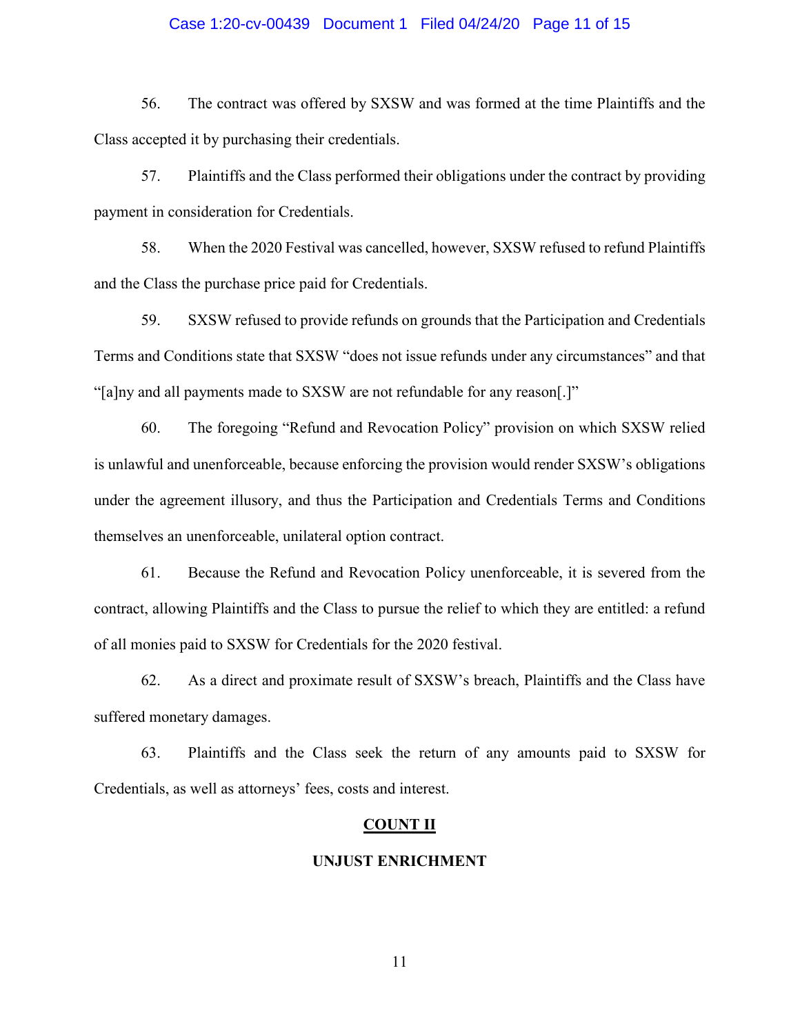## Case 1:20-cv-00439 Document 1 Filed 04/24/20 Page 11 of 15

56. The contract was offered by SXSW and was formed at the time Plaintiffs and the Class accepted it by purchasing their credentials.

57. Plaintiffs and the Class performed their obligations under the contract by providing payment in consideration for Credentials.

58. When the 2020 Festival was cancelled, however, SXSW refused to refund Plaintiffs and the Class the purchase price paid for Credentials.

59. SXSW refused to provide refunds on grounds that the Participation and Credentials Terms and Conditions state that SXSW "does not issue refunds under any circumstances" and that "[a]ny and all payments made to SXSW are not refundable for any reason[.]"

60. The foregoing "Refund and Revocation Policy" provision on which SXSW relied is unlawful and unenforceable, because enforcing the provision would render SXSW's obligations under the agreement illusory, and thus the Participation and Credentials Terms and Conditions themselves an unenforceable, unilateral option contract.

61. Because the Refund and Revocation Policy unenforceable, it is severed from the contract, allowing Plaintiffs and the Class to pursue the relief to which they are entitled: a refund of all monies paid to SXSW for Credentials for the 2020 festival.

62. As a direct and proximate result of SXSW's breach, Plaintiffs and the Class have suffered monetary damages.

63. Plaintiffs and the Class seek the return of any amounts paid to SXSW for Credentials, as well as attorneys' fees, costs and interest.

## **COUNT II**

## **UNJUST ENRICHMENT**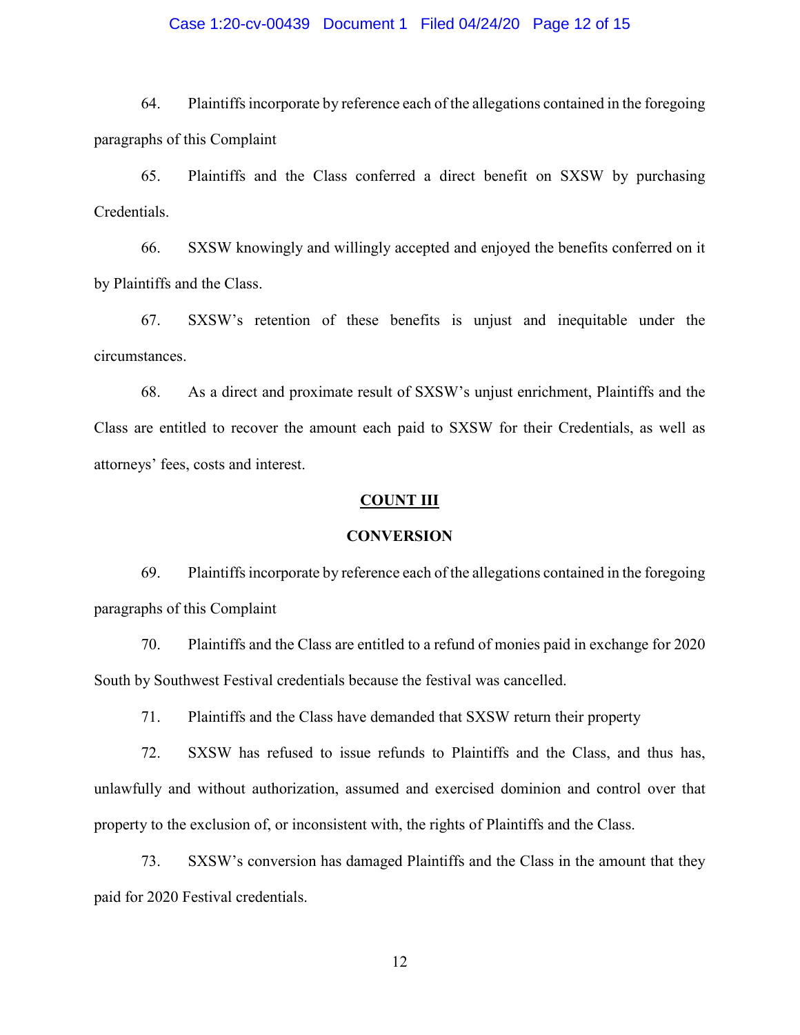## Case 1:20-cv-00439 Document 1 Filed 04/24/20 Page 12 of 15

64. Plaintiffsincorporate by reference each of the allegations contained in the foregoing paragraphs of this Complaint

65. Plaintiffs and the Class conferred a direct benefit on SXSW by purchasing Credentials.

66. SXSW knowingly and willingly accepted and enjoyed the benefits conferred on it by Plaintiffs and the Class.

67. SXSW's retention of these benefits is unjust and inequitable under the circumstances.

68. As a direct and proximate result of SXSW's unjust enrichment, Plaintiffs and the Class are entitled to recover the amount each paid to SXSW for their Credentials, as well as attorneys' fees, costs and interest.

#### **COUNT III**

#### **CONVERSION**

69. Plaintiffsincorporate by reference each of the allegations contained in the foregoing paragraphs of this Complaint

70. Plaintiffs and the Class are entitled to a refund of monies paid in exchange for 2020 South by Southwest Festival credentials because the festival was cancelled.

71. Plaintiffs and the Class have demanded that SXSW return their property

72. SXSW has refused to issue refunds to Plaintiffs and the Class, and thus has, unlawfully and without authorization, assumed and exercised dominion and control over that property to the exclusion of, or inconsistent with, the rights of Plaintiffs and the Class.

73. SXSW's conversion has damaged Plaintiffs and the Class in the amount that they paid for 2020 Festival credentials.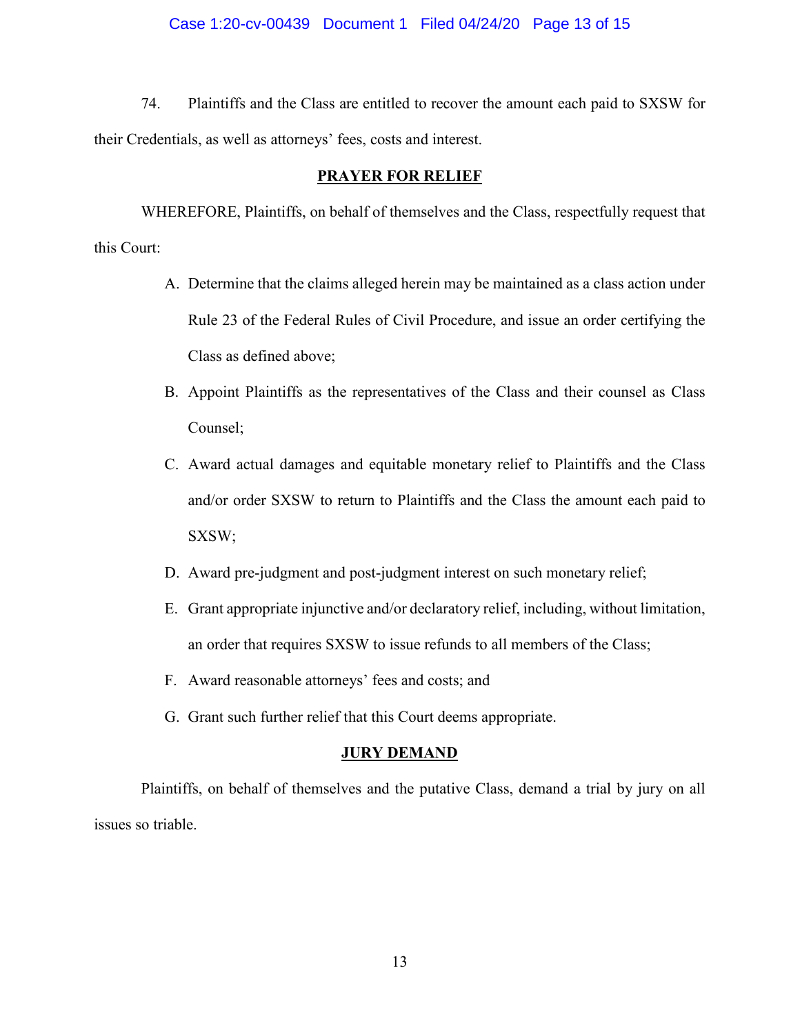## Case 1:20-cv-00439 Document 1 Filed 04/24/20 Page 13 of 15

74. Plaintiffs and the Class are entitled to recover the amount each paid to SXSW for their Credentials, as well as attorneys' fees, costs and interest.

## **PRAYER FOR RELIEF**

WHEREFORE, Plaintiffs, on behalf of themselves and the Class, respectfully request that this Court:

- A. Determine that the claims alleged herein may be maintained as a class action under Rule 23 of the Federal Rules of Civil Procedure, and issue an order certifying the Class as defined above;
- B. Appoint Plaintiffs as the representatives of the Class and their counsel as Class Counsel;
- C. Award actual damages and equitable monetary relief to Plaintiffs and the Class and/or order SXSW to return to Plaintiffs and the Class the amount each paid to SXSW;
- D. Award pre-judgment and post-judgment interest on such monetary relief;
- E. Grant appropriate injunctive and/or declaratory relief, including, without limitation, an order that requires SXSW to issue refunds to all members of the Class;
- F. Award reasonable attorneys' fees and costs; and
- G. Grant such further relief that this Court deems appropriate.

#### **JURY DEMAND**

Plaintiffs, on behalf of themselves and the putative Class, demand a trial by jury on all issues so triable.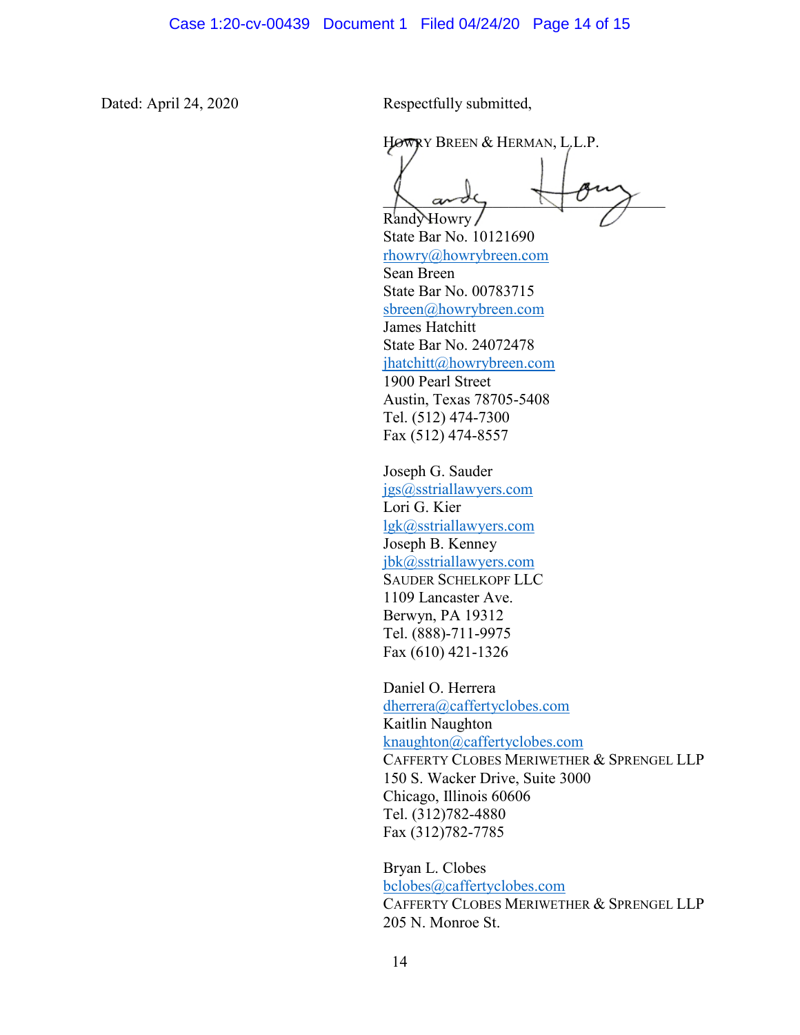Dated: April 24, 2020 Respectfully submitted,

HOWRY BREEN & HERMAN, L.L.P.

 $\bigwedge$  and  $\bigwedge$ 

Randy Howry State Bar No. 10121690 [rhowry@howrybreen.com](mailto:rhowry@howrybreen.com) Sean Breen State Bar No. 00783715 [sbreen@howrybreen.com](mailto:sbreen@howrybreen.com) James Hatchitt State Bar No. 24072478 [jhatchitt@howrybreen.com](mailto:jhatchitt@howrybreen.com) 1900 Pearl Street Austin, Texas 78705-5408 Tel. (512) 474-7300 Fax (512) 474-8557

Joseph G. Sauder [jgs@sstriallawyers.com](mailto:jgs@sstriallawyers.com) Lori G. Kier [lgk@sstriallawyers.com](mailto:lgk@sstriallawyers.com) Joseph B. Kenney [jbk@sstriallawyers.com](mailto:jbk@sstriallawyers.com) SAUDER SCHELKOPF LLC 1109 Lancaster Ave. Berwyn, PA 19312 Tel. (888)-711-9975 Fax (610) 421-1326

Daniel O. Herrera [dherrera@caffertyclobes.com](mailto:dherrera@caffertyclobes.com) Kaitlin Naughton [knaughton@caffertyclobes.com](mailto:knaughton@caffertyclobes.com) CAFFERTY CLOBES MERIWETHER & SPRENGEL LLP 150 S. Wacker Drive, Suite 3000 Chicago, Illinois 60606 Tel. (312)782-4880 Fax (312)782-7785

Bryan L. Clobes [bclobes@caffertyclobes.com](mailto:bclobes@caffertyclobes.com) CAFFERTY CLOBES MERIWETHER & SPRENGEL LLP 205 N. Monroe St.